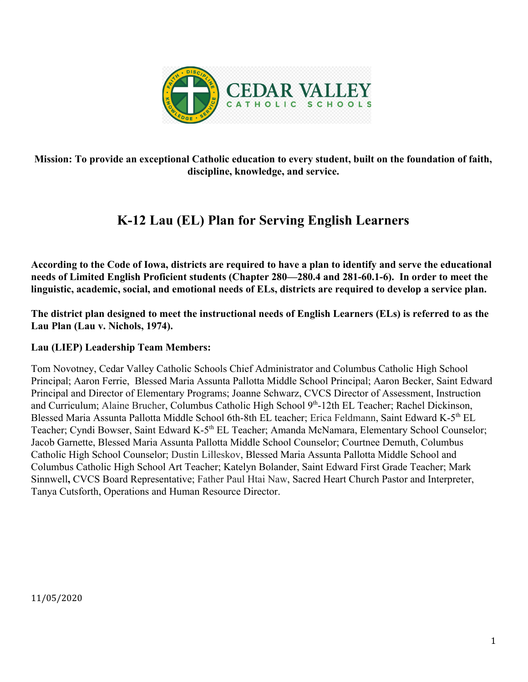

**Mission: To provide an exceptional Catholic education to every student, built on the foundation of faith, discipline, knowledge, and service.**

# **K-12 Lau (EL) Plan for Serving English Learners**

**According to the Code of Iowa, districts are required to have a plan to identify and serve the educational needs of Limited English Proficient students (Chapter 280—280.4 and 281-60.1-6). In order to meet the linguistic, academic, social, and emotional needs of ELs, districts are required to develop a service plan.**

**The district plan designed to meet the instructional needs of English Learners (ELs) is referred to as the Lau Plan (Lau v. Nichols, 1974).**

#### **Lau (LIEP) Leadership Team Members:**

Tom Novotney, Cedar Valley Catholic Schools Chief Administrator and Columbus Catholic High School Principal; Aaron Ferrie, Blessed Maria Assunta Pallotta Middle School Principal; Aaron Becker, Saint Edward Principal and Director of Elementary Programs; Joanne Schwarz, CVCS Director of Assessment, Instruction and Curriculum; Alaine Brucher, Columbus Catholic High School 9th-12th EL Teacher; Rachel Dickinson, Blessed Maria Assunta Pallotta Middle School 6th-8th EL teacher; Erica Feldmann, Saint Edward K-5<sup>th</sup> EL Teacher; Cyndi Bowser, Saint Edward K-5<sup>th</sup> EL Teacher; Amanda McNamara, Elementary School Counselor; Jacob Garnette, Blessed Maria Assunta Pallotta Middle School Counselor; Courtnee Demuth, Columbus Catholic High School Counselor; Dustin Lilleskov, Blessed Maria Assunta Pallotta Middle School and Columbus Catholic High School Art Teacher; Katelyn Bolander, Saint Edward First Grade Teacher; Mark Sinnwell**,** CVCS Board Representative; Father Paul Htai Naw, Sacred Heart Church Pastor and Interpreter, Tanya Cutsforth, Operations and Human Resource Director.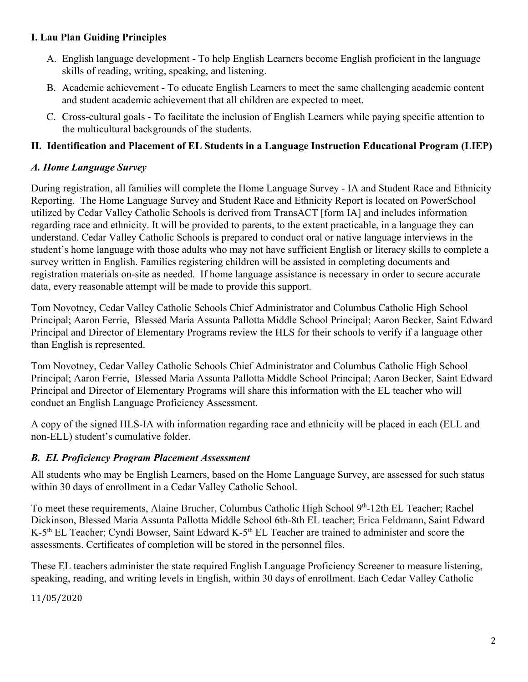# **I. Lau Plan Guiding Principles**

- A. English language development To help English Learners become English proficient in the language skills of reading, writing, speaking, and listening.
- B. Academic achievement To educate English Learners to meet the same challenging academic content and student academic achievement that all children are expected to meet.
- C. Cross-cultural goals To facilitate the inclusion of English Learners while paying specific attention to the multicultural backgrounds of the students.

# **II. Identification and Placement of EL Students in a Language Instruction Educational Program (LIEP)**

# *A. Home Language Survey*

During registration, all families will complete the Home Language Survey - IA and Student Race and Ethnicity Reporting. The Home Language Survey and Student Race and Ethnicity Report is located on PowerSchool utilized by Cedar Valley Catholic Schools is derived from TransACT [form IA] and includes information regarding race and ethnicity. It will be provided to parents, to the extent practicable, in a language they can understand. Cedar Valley Catholic Schools is prepared to conduct oral or native language interviews in the student's home language with those adults who may not have sufficient English or literacy skills to complete a survey written in English. Families registering children will be assisted in completing documents and registration materials on-site as needed. If home language assistance is necessary in order to secure accurate data, every reasonable attempt will be made to provide this support.

Tom Novotney, Cedar Valley Catholic Schools Chief Administrator and Columbus Catholic High School Principal; Aaron Ferrie, Blessed Maria Assunta Pallotta Middle School Principal; Aaron Becker, Saint Edward Principal and Director of Elementary Programs review the HLS for their schools to verify if a language other than English is represented.

Tom Novotney, Cedar Valley Catholic Schools Chief Administrator and Columbus Catholic High School Principal; Aaron Ferrie, Blessed Maria Assunta Pallotta Middle School Principal; Aaron Becker, Saint Edward Principal and Director of Elementary Programs will share this information with the EL teacher who will conduct an English Language Proficiency Assessment.

A copy of the signed HLS-IA with information regarding race and ethnicity will be placed in each (ELL and non-ELL) student's cumulative folder.

#### *B. EL Proficiency Program Placement Assessment*

All students who may be English Learners, based on the Home Language Survey, are assessed for such status within 30 days of enrollment in a Cedar Valley Catholic School.

To meet these requirements, Alaine Brucher, Columbus Catholic High School 9<sup>th</sup>-12th EL Teacher; Rachel Dickinson, Blessed Maria Assunta Pallotta Middle School 6th-8th EL teacher; Erica Feldmann, Saint Edward K-5<sup>th</sup> EL Teacher; Cyndi Bowser, Saint Edward K-5<sup>th</sup> EL Teacher are trained to administer and score the assessments. Certificates of completion will be stored in the personnel files.

These EL teachers administer the state required English Language Proficiency Screener to measure listening, speaking, reading, and writing levels in English, within 30 days of enrollment. Each Cedar Valley Catholic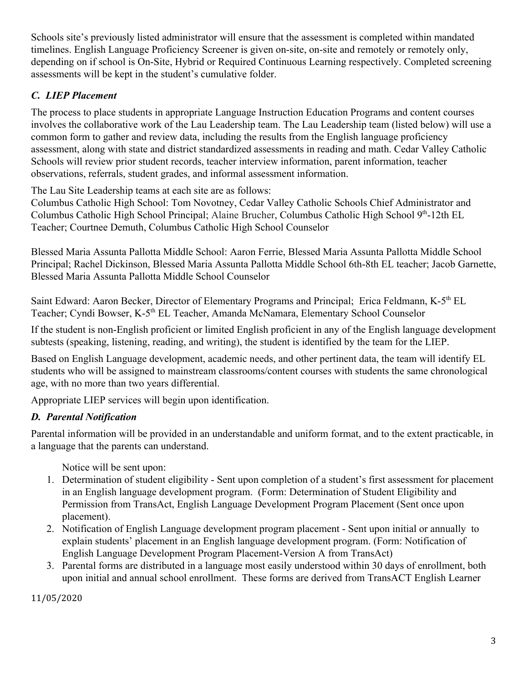Schools site's previously listed administrator will ensure that the assessment is completed within mandated timelines. English Language Proficiency Screener is given on-site, on-site and remotely or remotely only, depending on if school is On-Site, Hybrid or Required Continuous Learning respectively. Completed screening assessments will be kept in the student's cumulative folder.

# *C. LIEP Placement*

The process to place students in appropriate Language Instruction Education Programs and content courses involves the collaborative work of the Lau Leadership team. The Lau Leadership team (listed below) will use a common form to gather and review data, including the results from the English language proficiency assessment, along with state and district standardized assessments in reading and math. Cedar Valley Catholic Schools will review prior student records, teacher interview information, parent information, teacher observations, referrals, student grades, and informal assessment information.

The Lau Site Leadership teams at each site are as follows:

Columbus Catholic High School: Tom Novotney, Cedar Valley Catholic Schools Chief Administrator and Columbus Catholic High School Principal; Alaine Brucher, Columbus Catholic High School 9th-12th EL Teacher; Courtnee Demuth, Columbus Catholic High School Counselor

Blessed Maria Assunta Pallotta Middle School: Aaron Ferrie, Blessed Maria Assunta Pallotta Middle School Principal; Rachel Dickinson, Blessed Maria Assunta Pallotta Middle School 6th-8th EL teacher; Jacob Garnette, Blessed Maria Assunta Pallotta Middle School Counselor

Saint Edward: Aaron Becker, Director of Elementary Programs and Principal; Erica Feldmann, K-5<sup>th</sup> EL Teacher; Cyndi Bowser, K-5<sup>th</sup> EL Teacher, Amanda McNamara, Elementary School Counselor

If the student is non-English proficient or limited English proficient in any of the English language development subtests (speaking, listening, reading, and writing), the student is identified by the team for the LIEP.

Based on English Language development, academic needs, and other pertinent data, the team will identify EL students who will be assigned to mainstream classrooms/content courses with students the same chronological age, with no more than two years differential.

Appropriate LIEP services will begin upon identification.

# *D. Parental Notification*

Parental information will be provided in an understandable and uniform format, and to the extent practicable, in a language that the parents can understand.

Notice will be sent upon:

- 1. Determination of student eligibility Sent upon completion of a student's first assessment for placement in an English language development program. (Form: Determination of Student Eligibility and Permission from TransAct, English Language Development Program Placement (Sent once upon placement).
- 2. Notification of English Language development program placement Sent upon initial or annually to explain students' placement in an English language development program. (Form: Notification of English Language Development Program Placement-Version A from TransAct)
- 3. Parental forms are distributed in a language most easily understood within 30 days of enrollment, both upon initial and annual school enrollment. These forms are derived from TransACT English Learner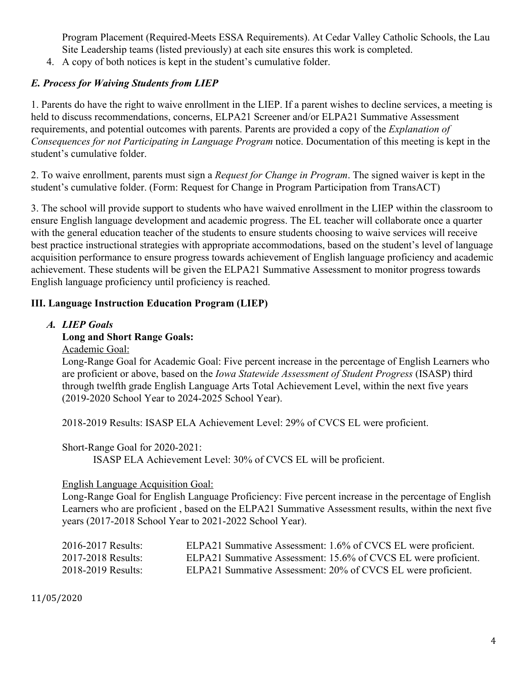Program Placement (Required-Meets ESSA Requirements). At Cedar Valley Catholic Schools, the Lau Site Leadership teams (listed previously) at each site ensures this work is completed.

4. A copy of both notices is kept in the student's cumulative folder.

# *E. Process for Waiving Students from LIEP*

1. Parents do have the right to waive enrollment in the LIEP. If a parent wishes to decline services, a meeting is held to discuss recommendations, concerns, ELPA21 Screener and/or ELPA21 Summative Assessment requirements, and potential outcomes with parents. Parents are provided a copy of the *Explanation of Consequences for not Participating in Language Program* notice. Documentation of this meeting is kept in the student's cumulative folder.

2. To waive enrollment, parents must sign a *Request for Change in Program*. The signed waiver is kept in the student's cumulative folder. (Form: Request for Change in Program Participation from TransACT)

3. The school will provide support to students who have waived enrollment in the LIEP within the classroom to ensure English language development and academic progress. The EL teacher will collaborate once a quarter with the general education teacher of the students to ensure students choosing to waive services will receive best practice instructional strategies with appropriate accommodations, based on the student's level of language acquisition performance to ensure progress towards achievement of English language proficiency and academic achievement. These students will be given the ELPA21 Summative Assessment to monitor progress towards English language proficiency until proficiency is reached.

#### **III. Language Instruction Education Program (LIEP)**

*A. LIEP Goals*

#### **Long and Short Range Goals:**

Academic Goal:

Long-Range Goal for Academic Goal: Five percent increase in the percentage of English Learners who are proficient or above, based on the *Iowa Statewide Assessment of Student Progress* (ISASP) third through twelfth grade English Language Arts Total Achievement Level, within the next five years (2019-2020 School Year to 2024-2025 School Year).

2018-2019 Results: ISASP ELA Achievement Level: 29% of CVCS EL were proficient.

Short-Range Goal for 2020-2021:

ISASP ELA Achievement Level: 30% of CVCS EL will be proficient.

#### English Language Acquisition Goal:

Long-Range Goal for English Language Proficiency: Five percent increase in the percentage of English Learners who are proficient , based on the ELPA21 Summative Assessment results, within the next five years (2017-2018 School Year to 2021-2022 School Year).

| 2016-2017 Results: | ELPA21 Summative Assessment: 1.6% of CVCS EL were proficient.  |
|--------------------|----------------------------------------------------------------|
| 2017-2018 Results: | ELPA21 Summative Assessment: 15.6% of CVCS EL were proficient. |
| 2018-2019 Results: | ELPA21 Summative Assessment: 20% of CVCS EL were proficient.   |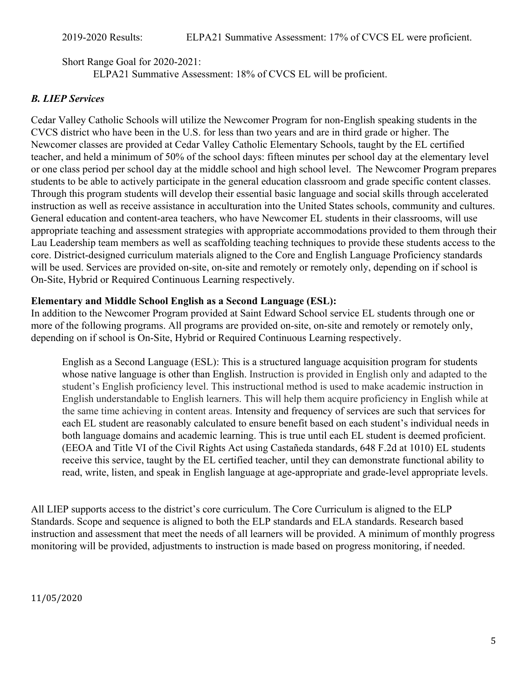Short Range Goal for 2020-2021: ELPA21 Summative Assessment: 18% of CVCS EL will be proficient.

#### *B. LIEP Services*

Cedar Valley Catholic Schools will utilize the Newcomer Program for non-English speaking students in the CVCS district who have been in the U.S. for less than two years and are in third grade or higher. The Newcomer classes are provided at Cedar Valley Catholic Elementary Schools, taught by the EL certified teacher, and held a minimum of 50% of the school days: fifteen minutes per school day at the elementary level or one class period per school day at the middle school and high school level. The Newcomer Program prepares students to be able to actively participate in the general education classroom and grade specific content classes. Through this program students will develop their essential basic language and social skills through accelerated instruction as well as receive assistance in acculturation into the United States schools, community and cultures. General education and content-area teachers, who have Newcomer EL students in their classrooms, will use appropriate teaching and assessment strategies with appropriate accommodations provided to them through their Lau Leadership team members as well as scaffolding teaching techniques to provide these students access to the core. District-designed curriculum materials aligned to the Core and English Language Proficiency standards will be used. Services are provided on-site, on-site and remotely or remotely only, depending on if school is On-Site, Hybrid or Required Continuous Learning respectively.

#### **Elementary and Middle School English as a Second Language (ESL):**

In addition to the Newcomer Program provided at Saint Edward School service EL students through one or more of the following programs. All programs are provided on-site, on-site and remotely or remotely only, depending on if school is On-Site, Hybrid or Required Continuous Learning respectively.

English as a Second Language (ESL): This is a structured language acquisition program for students whose native language is other than English. Instruction is provided in English only and adapted to the student's English proficiency level. This instructional method is used to make academic instruction in English understandable to English learners. This will help them acquire proficiency in English while at the same time achieving in content areas. Intensity and frequency of services are such that services for each EL student are reasonably calculated to ensure benefit based on each student's individual needs in both language domains and academic learning. This is true until each EL student is deemed proficient. (EEOA and Title VI of the Civil Rights Act using Castañeda standards, 648 F.2d at 1010) EL students receive this service, taught by the EL certified teacher, until they can demonstrate functional ability to read, write, listen, and speak in English language at age-appropriate and grade-level appropriate levels.

All LIEP supports access to the district's core curriculum. The Core Curriculum is aligned to the ELP Standards. Scope and sequence is aligned to both the ELP standards and ELA standards. Research based instruction and assessment that meet the needs of all learners will be provided. A minimum of monthly progress monitoring will be provided, adjustments to instruction is made based on progress monitoring, if needed.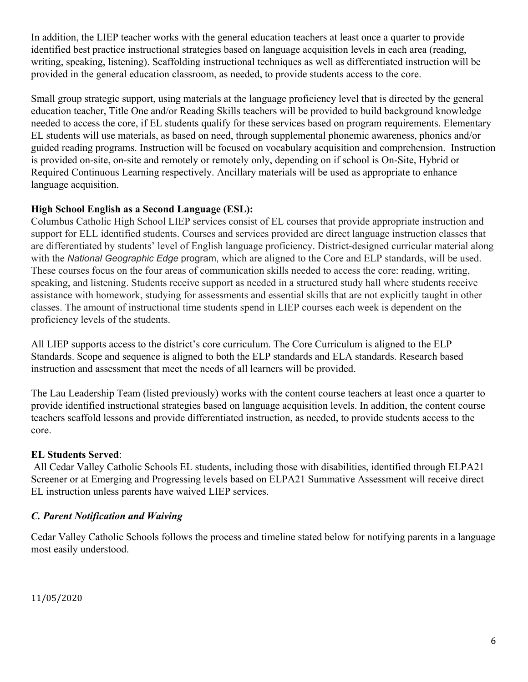In addition, the LIEP teacher works with the general education teachers at least once a quarter to provide identified best practice instructional strategies based on language acquisition levels in each area (reading, writing, speaking, listening). Scaffolding instructional techniques as well as differentiated instruction will be provided in the general education classroom, as needed, to provide students access to the core.

Small group strategic support, using materials at the language proficiency level that is directed by the general education teacher, Title One and/or Reading Skills teachers will be provided to build background knowledge needed to access the core, if EL students qualify for these services based on program requirements. Elementary EL students will use materials, as based on need, through supplemental phonemic awareness, phonics and/or guided reading programs. Instruction will be focused on vocabulary acquisition and comprehension. Instruction is provided on-site, on-site and remotely or remotely only, depending on if school is On-Site, Hybrid or Required Continuous Learning respectively. Ancillary materials will be used as appropriate to enhance language acquisition.

#### **High School English as a Second Language (ESL):**

Columbus Catholic High School LIEP services consist of EL courses that provide appropriate instruction and support for ELL identified students. Courses and services provided are direct language instruction classes that are differentiated by students' level of English language proficiency. District-designed curricular material along with the *National Geographic Edge* program, which are aligned to the Core and ELP standards, will be used. These courses focus on the four areas of communication skills needed to access the core: reading, writing, speaking, and listening. Students receive support as needed in a structured study hall where students receive assistance with homework, studying for assessments and essential skills that are not explicitly taught in other classes. The amount of instructional time students spend in LIEP courses each week is dependent on the proficiency levels of the students.

All LIEP supports access to the district's core curriculum. The Core Curriculum is aligned to the ELP Standards. Scope and sequence is aligned to both the ELP standards and ELA standards. Research based instruction and assessment that meet the needs of all learners will be provided.

The Lau Leadership Team (listed previously) works with the content course teachers at least once a quarter to provide identified instructional strategies based on language acquisition levels. In addition, the content course teachers scaffold lessons and provide differentiated instruction, as needed, to provide students access to the core.

#### **EL Students Served**:

 All Cedar Valley Catholic Schools EL students, including those with disabilities, identified through ELPA21 Screener or at Emerging and Progressing levels based on ELPA21 Summative Assessment will receive direct EL instruction unless parents have waived LIEP services.

#### *C. Parent Notification and Waiving*

Cedar Valley Catholic Schools follows the process and timeline stated below for notifying parents in a language most easily understood.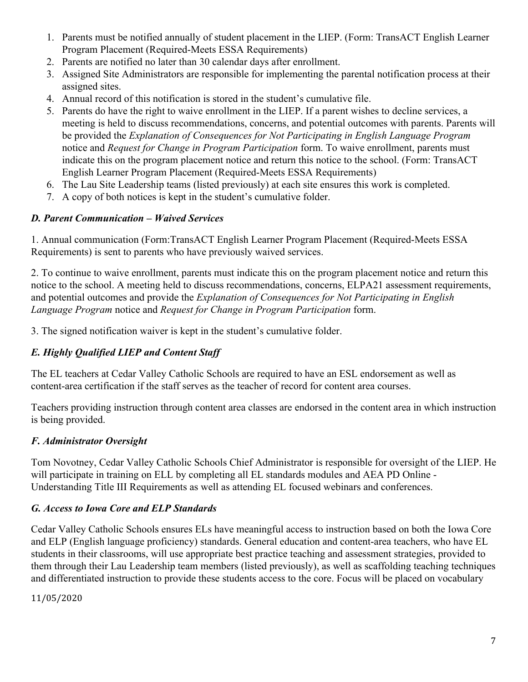- 1. Parents must be notified annually of student placement in the LIEP. (Form: TransACT English Learner Program Placement (Required-Meets ESSA Requirements)
- 2. Parents are notified no later than 30 calendar days after enrollment.
- 3. Assigned Site Administrators are responsible for implementing the parental notification process at their assigned sites.
- 4. Annual record of this notification is stored in the student's cumulative file.
- 5. Parents do have the right to waive enrollment in the LIEP. If a parent wishes to decline services, a meeting is held to discuss recommendations, concerns, and potential outcomes with parents. Parents will be provided the *Explanation of Consequences for Not Participating in English Language Program* notice and *Request for Change in Program Participation* form. To waive enrollment, parents must indicate this on the program placement notice and return this notice to the school. (Form: TransACT English Learner Program Placement (Required-Meets ESSA Requirements)
- 6. The Lau Site Leadership teams (listed previously) at each site ensures this work is completed.
- 7. A copy of both notices is kept in the student's cumulative folder.

# *D. Parent Communication – Waived Services*

1. Annual communication (Form:TransACT English Learner Program Placement (Required-Meets ESSA Requirements) is sent to parents who have previously waived services.

2. To continue to waive enrollment, parents must indicate this on the program placement notice and return this notice to the school. A meeting held to discuss recommendations, concerns, ELPA21 assessment requirements, and potential outcomes and provide the *Explanation of Consequences for Not Participating in English Language Program* notice and *Request for Change in Program Participation* form.

3. The signed notification waiver is kept in the student's cumulative folder.

# *E. Highly Qualified LIEP and Content Staff*

The EL teachers at Cedar Valley Catholic Schools are required to have an ESL endorsement as well as content-area certification if the staff serves as the teacher of record for content area courses.

Teachers providing instruction through content area classes are endorsed in the content area in which instruction is being provided.

# *F. Administrator Oversight*

Tom Novotney, Cedar Valley Catholic Schools Chief Administrator is responsible for oversight of the LIEP. He will participate in training on ELL by completing all EL standards modules and AEA PD Online - Understanding Title III Requirements as well as attending EL focused webinars and conferences.

# *G. Access to Iowa Core and ELP Standards*

Cedar Valley Catholic Schools ensures ELs have meaningful access to instruction based on both the Iowa Core and ELP (English language proficiency) standards. General education and content-area teachers, who have EL students in their classrooms, will use appropriate best practice teaching and assessment strategies, provided to them through their Lau Leadership team members (listed previously), as well as scaffolding teaching techniques and differentiated instruction to provide these students access to the core. Focus will be placed on vocabulary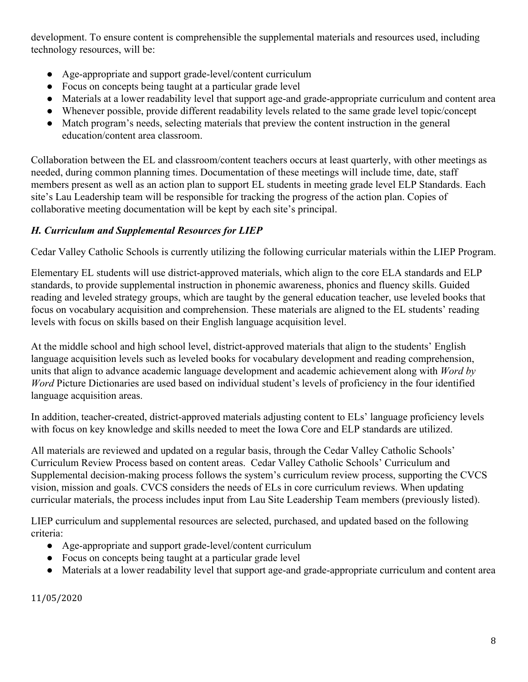development. To ensure content is comprehensible the supplemental materials and resources used, including technology resources, will be:

- Age-appropriate and support grade-level/content curriculum
- Focus on concepts being taught at a particular grade level
- Materials at a lower readability level that support age-and grade-appropriate curriculum and content area
- Whenever possible, provide different readability levels related to the same grade level topic/concept
- Match program's needs, selecting materials that preview the content instruction in the general education/content area classroom.

Collaboration between the EL and classroom/content teachers occurs at least quarterly, with other meetings as needed, during common planning times. Documentation of these meetings will include time, date, staff members present as well as an action plan to support EL students in meeting grade level ELP Standards. Each site's Lau Leadership team will be responsible for tracking the progress of the action plan. Copies of collaborative meeting documentation will be kept by each site's principal.

# *H. Curriculum and Supplemental Resources for LIEP*

Cedar Valley Catholic Schools is currently utilizing the following curricular materials within the LIEP Program.

Elementary EL students will use district-approved materials, which align to the core ELA standards and ELP standards, to provide supplemental instruction in phonemic awareness, phonics and fluency skills. Guided reading and leveled strategy groups, which are taught by the general education teacher, use leveled books that focus on vocabulary acquisition and comprehension. These materials are aligned to the EL students' reading levels with focus on skills based on their English language acquisition level.

At the middle school and high school level, district-approved materials that align to the students' English language acquisition levels such as leveled books for vocabulary development and reading comprehension, units that align to advance academic language development and academic achievement along with *Word by Word* Picture Dictionaries are used based on individual student's levels of proficiency in the four identified language acquisition areas.

In addition, teacher-created, district-approved materials adjusting content to ELs' language proficiency levels with focus on key knowledge and skills needed to meet the Iowa Core and ELP standards are utilized.

All materials are reviewed and updated on a regular basis, through the Cedar Valley Catholic Schools' Curriculum Review Process based on content areas. Cedar Valley Catholic Schools' Curriculum and Supplemental decision-making process follows the system's curriculum review process, supporting the CVCS vision, mission and goals. CVCS considers the needs of ELs in core curriculum reviews. When updating curricular materials, the process includes input from Lau Site Leadership Team members (previously listed).

LIEP curriculum and supplemental resources are selected, purchased, and updated based on the following criteria:

- Age-appropriate and support grade-level/content curriculum
- Focus on concepts being taught at a particular grade level
- Materials at a lower readability level that support age-and grade-appropriate curriculum and content area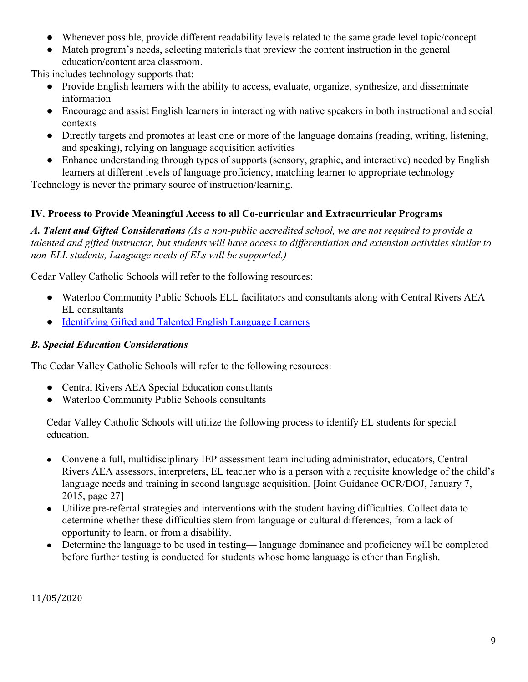- Whenever possible, provide different readability levels related to the same grade level topic/concept
- Match program's needs, selecting materials that preview the content instruction in the general education/content area classroom.

This includes technology supports that:

- Provide English learners with the ability to access, evaluate, organize, synthesize, and disseminate information
- Encourage and assist English learners in interacting with native speakers in both instructional and social contexts
- Directly targets and promotes at least one or more of the language domains (reading, writing, listening, and speaking), relying on language acquisition activities
- Enhance understanding through types of supports (sensory, graphic, and interactive) needed by English learners at different levels of language proficiency, matching learner to appropriate technology

Technology is never the primary source of instruction/learning.

#### **IV. Process to Provide Meaningful Access to all Co-curricular and Extracurricular Programs**

*A. Talent and Gifted Considerations (As a non-public accredited school, we are not required to provide a talented and gifted instructor, but students will have access to differentiation and extension activities similar to non-ELL students, Language needs of ELs will be supported.)*

Cedar Valley Catholic Schools will refer to the following resources:

- Waterloo Community Public Schools ELL facilitators and consultants along with Central Rivers AEA EL consultants
- [Identifying Gifted and Talented English Language Learners](https://www.educateiowa.gov/sites/files/ed/documents/IdentifyGiftedTalentedELL.pdf)

#### *B. Special Education Considerations*

The Cedar Valley Catholic Schools will refer to the following resources:

- Central Rivers AEA Special Education consultants
- Waterloo Community Public Schools consultants

Cedar Valley Catholic Schools will utilize the following process to identify EL students for special education.

- Convene a full, multidisciplinary IEP assessment team including administrator, educators, Central Rivers AEA assessors, interpreters, EL teacher who is a person with a requisite knowledge of the child's language needs and training in second language acquisition. [Joint Guidance OCR/DOJ, January 7, 2015, page 27]
- Utilize pre-referral strategies and interventions with the student having difficulties. Collect data to determine whether these difficulties stem from language or cultural differences, from a lack of opportunity to learn, or from a disability.
- Determine the language to be used in testing— language dominance and proficiency will be completed before further testing is conducted for students whose home language is other than English.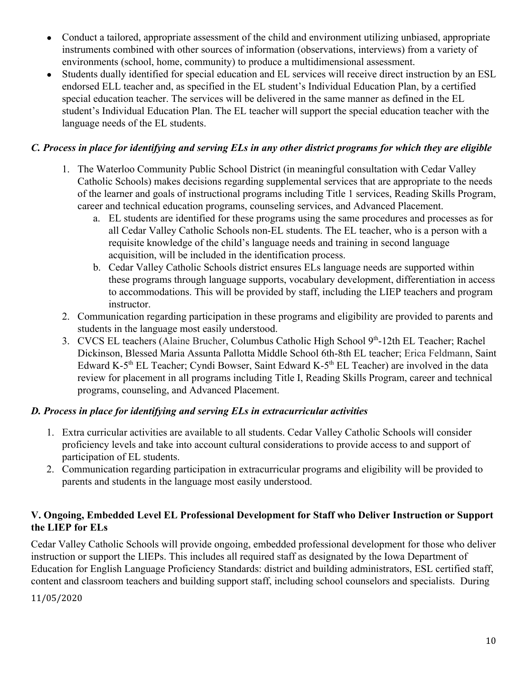- Conduct a tailored, appropriate assessment of the child and environment utilizing unbiased, appropriate instruments combined with other sources of information (observations, interviews) from a variety of environments (school, home, community) to produce a multidimensional assessment.
- Students dually identified for special education and EL services will receive direct instruction by an ESL endorsed ELL teacher and, as specified in the EL student's Individual Education Plan, by a certified special education teacher. The services will be delivered in the same manner as defined in the EL student's Individual Education Plan. The EL teacher will support the special education teacher with the language needs of the EL students.

# *C. Process in place for identifying and serving ELs in any other district programs for which they are eligible*

- 1. The Waterloo Community Public School District (in meaningful consultation with Cedar Valley Catholic Schools) makes decisions regarding supplemental services that are appropriate to the needs of the learner and goals of instructional programs including Title 1 services, Reading Skills Program, career and technical education programs, counseling services, and Advanced Placement.
	- a. EL students are identified for these programs using the same procedures and processes as for all Cedar Valley Catholic Schools non-EL students. The EL teacher, who is a person with a requisite knowledge of the child's language needs and training in second language acquisition, will be included in the identification process.
	- b. Cedar Valley Catholic Schools district ensures ELs language needs are supported within these programs through language supports, vocabulary development, differentiation in access to accommodations. This will be provided by staff, including the LIEP teachers and program instructor.
- 2. Communication regarding participation in these programs and eligibility are provided to parents and students in the language most easily understood.
- 3. CVCS EL teachers (Alaine Brucher, Columbus Catholic High School 9<sup>th</sup>-12th EL Teacher; Rachel Dickinson, Blessed Maria Assunta Pallotta Middle School 6th-8th EL teacher; Erica Feldmann, Saint Edward K-5<sup>th</sup> EL Teacher; Cyndi Bowser, Saint Edward K-5<sup>th</sup> EL Teacher) are involved in the data review for placement in all programs including Title I, Reading Skills Program, career and technical programs, counseling, and Advanced Placement.

# *D. Process in place for identifying and serving ELs in extracurricular activities*

- 1. Extra curricular activities are available to all students. Cedar Valley Catholic Schools will consider proficiency levels and take into account cultural considerations to provide access to and support of participation of EL students.
- 2. Communication regarding participation in extracurricular programs and eligibility will be provided to parents and students in the language most easily understood.

# **V. Ongoing, Embedded Level EL Professional Development for Staff who Deliver Instruction or Support the LIEP for ELs**

Cedar Valley Catholic Schools will provide ongoing, embedded professional development for those who deliver instruction or support the LIEPs. This includes all required staff as designated by the Iowa Department of Education for English Language Proficiency Standards: district and building administrators, ESL certified staff, content and classroom teachers and building support staff, including school counselors and specialists. During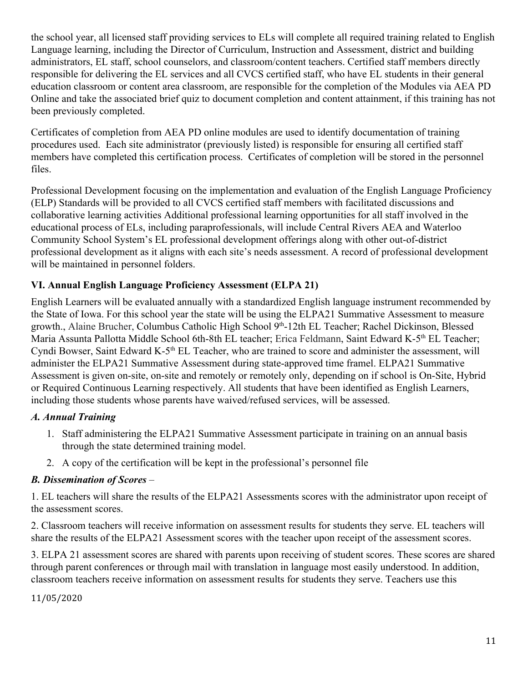the school year, all licensed staff providing services to ELs will complete all required training related to English Language learning, including the Director of Curriculum, Instruction and Assessment, district and building administrators, EL staff, school counselors, and classroom/content teachers. Certified staff members directly responsible for delivering the EL services and all CVCS certified staff, who have EL students in their general education classroom or content area classroom, are responsible for the completion of the Modules via AEA PD Online and take the associated brief quiz to document completion and content attainment, if this training has not been previously completed.

Certificates of completion from AEA PD online modules are used to identify documentation of training procedures used. Each site administrator (previously listed) is responsible for ensuring all certified staff members have completed this certification process. Certificates of completion will be stored in the personnel files.

Professional Development focusing on the implementation and evaluation of the English Language Proficiency (ELP) Standards will be provided to all CVCS certified staff members with facilitated discussions and collaborative learning activities Additional professional learning opportunities for all staff involved in the educational process of ELs, including paraprofessionals, will include Central Rivers AEA and Waterloo Community School System's EL professional development offerings along with other out-of-district professional development as it aligns with each site's needs assessment. A record of professional development will be maintained in personnel folders.

# **VI. Annual English Language Proficiency Assessment (ELPA 21)**

English Learners will be evaluated annually with a standardized English language instrument recommended by the State of Iowa. For this school year the state will be using the ELPA21 Summative Assessment to measure growth., Alaine Brucher, Columbus Catholic High School 9<sup>th</sup>-12th EL Teacher; Rachel Dickinson, Blessed Maria Assunta Pallotta Middle School 6th-8th EL teacher; Erica Feldmann, Saint Edward K-5<sup>th</sup> EL Teacher; Cyndi Bowser, Saint Edward K-5<sup>th</sup> EL Teacher, who are trained to score and administer the assessment, will administer the ELPA21 Summative Assessment during state-approved time framel. ELPA21 Summative Assessment is given on-site, on-site and remotely or remotely only, depending on if school is On-Site, Hybrid or Required Continuous Learning respectively. All students that have been identified as English Learners, including those students whose parents have waived/refused services, will be assessed.

#### *A. Annual Training*

- 1. Staff administering the ELPA21 Summative Assessment participate in training on an annual basis through the state determined training model.
- 2. A copy of the certification will be kept in the professional's personnel file

#### *B. Dissemination of Scores* –

1. EL teachers will share the results of the ELPA21 Assessments scores with the administrator upon receipt of the assessment scores.

2. Classroom teachers will receive information on assessment results for students they serve. EL teachers will share the results of the ELPA21 Assessment scores with the teacher upon receipt of the assessment scores.

3. ELPA 21 assessment scores are shared with parents upon receiving of student scores. These scores are shared through parent conferences or through mail with translation in language most easily understood. In addition, classroom teachers receive information on assessment results for students they serve. Teachers use this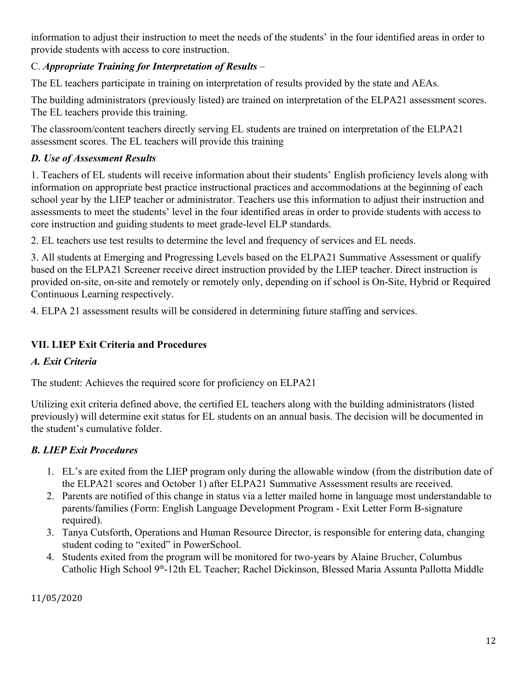information to adjust their instruction to meet the needs of the students' in the four identified areas in order to provide students with access to core instruction.

# C. *Appropriate Training for Interpretation of Results* –

The EL teachers participate in training on interpretation of results provided by the state and AEAs.

The building administrators (previously listed) are trained on interpretation of the ELPA21 assessment scores. The EL teachers provide this training.

The classroom/content teachers directly serving EL students are trained on interpretation of the ELPA21 assessment scores. The EL teachers will provide this training

# *D. Use of Assessment Results*

1. Teachers of EL students will receive information about their students' English proficiency levels along with information on appropriate best practice instructional practices and accommodations at the beginning of each school year by the LIEP teacher or administrator. Teachers use this information to adjust their instruction and assessments to meet the students' level in the four identified areas in order to provide students with access to core instruction and guiding students to meet grade-level ELP standards.

2. EL teachers use test results to determine the level and frequency of services and EL needs.

3. All students at Emerging and Progressing Levels based on the ELPA21 Summative Assessment or qualify based on the ELPA21 Screener receive direct instruction provided by the LIEP teacher. Direct instruction is provided on-site, on-site and remotely or remotely only, depending on if school is On-Site, Hybrid or Required Continuous Learning respectively.

4. ELPA 21 assessment results will be considered in determining future staffing and services.

# **VII. LIEP Exit Criteria and Procedures**

# *A. Exit Criteria*

The student: Achieves the required score for proficiency on ELPA21

Utilizing exit criteria defined above, the certified EL teachers along with the building administrators (listed previously) will determine exit status for EL students on an annual basis. The decision will be documented in the student's cumulative folder.

# *B. LIEP Exit Procedures*

- 1. EL's are exited from the LIEP program only during the allowable window (from the distribution date of the ELPA21 scores and October 1) after ELPA21 Summative Assessment results are received.
- 2. Parents are notified of this change in status via a letter mailed home in language most understandable to parents/families (Form: English Language Development Program - Exit Letter Form B-signature required).
- 3. Tanya Cutsforth, Operations and Human Resource Director, is responsible for entering data, changing student coding to "exited" in PowerSchool.
- 4. Students exited from the program will be monitored for two-years by Alaine Brucher, Columbus Catholic High School 9<sup>th</sup>-12th EL Teacher; Rachel Dickinson, Blessed Maria Assunta Pallotta Middle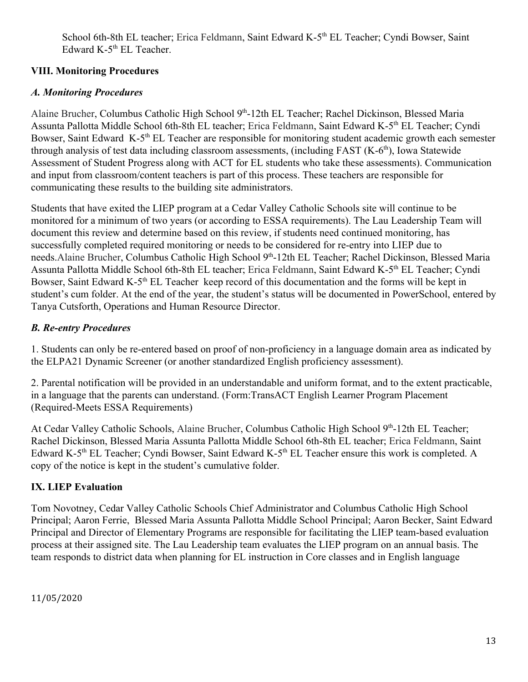School 6th-8th EL teacher; Erica Feldmann, Saint Edward K-5<sup>th</sup> EL Teacher; Cyndi Bowser, Saint Edward K-5<sup>th</sup> EL Teacher.

# **VIII. Monitoring Procedures**

# *A. Monitoring Procedures*

Alaine Brucher, Columbus Catholic High School 9<sup>th</sup>-12th EL Teacher; Rachel Dickinson, Blessed Maria Assunta Pallotta Middle School 6th-8th EL teacher; Erica Feldmann, Saint Edward K-5<sup>th</sup> EL Teacher; Cyndi Bowser, Saint Edward K-5<sup>th</sup> EL Teacher are responsible for monitoring student academic growth each semester through analysis of test data including classroom assessments, (including FAST (K-6<sup>th</sup>), Iowa Statewide Assessment of Student Progress along with ACT for EL students who take these assessments). Communication and input from classroom/content teachers is part of this process. These teachers are responsible for communicating these results to the building site administrators.

Students that have exited the LIEP program at a Cedar Valley Catholic Schools site will continue to be monitored for a minimum of two years (or according to ESSA requirements). The Lau Leadership Team will document this review and determine based on this review, if students need continued monitoring, has successfully completed required monitoring or needs to be considered for re-entry into LIEP due to needs. Alaine Brucher, Columbus Catholic High School 9th-12th EL Teacher; Rachel Dickinson, Blessed Maria Assunta Pallotta Middle School 6th-8th EL teacher; Erica Feldmann, Saint Edward K-5<sup>th</sup> EL Teacher; Cyndi Bowser, Saint Edward K-5<sup>th</sup> EL Teacher keep record of this documentation and the forms will be kept in student's cum folder. At the end of the year, the student's status will be documented in PowerSchool, entered by Tanya Cutsforth, Operations and Human Resource Director.

# *B. Re-entry Procedures*

1. Students can only be re-entered based on proof of non-proficiency in a language domain area as indicated by the ELPA21 Dynamic Screener (or another standardized English proficiency assessment).

2. Parental notification will be provided in an understandable and uniform format, and to the extent practicable, in a language that the parents can understand. (Form:TransACT English Learner Program Placement (Required-Meets ESSA Requirements)

At Cedar Valley Catholic Schools, Alaine Brucher, Columbus Catholic High School 9th-12th EL Teacher; Rachel Dickinson, Blessed Maria Assunta Pallotta Middle School 6th-8th EL teacher; Erica Feldmann, Saint Edward K-5<sup>th</sup> EL Teacher; Cyndi Bowser, Saint Edward K-5<sup>th</sup> EL Teacher ensure this work is completed. A copy of the notice is kept in the student's cumulative folder.

# **IX. LIEP Evaluation**

Tom Novotney, Cedar Valley Catholic Schools Chief Administrator and Columbus Catholic High School Principal; Aaron Ferrie, Blessed Maria Assunta Pallotta Middle School Principal; Aaron Becker, Saint Edward Principal and Director of Elementary Programs are responsible for facilitating the LIEP team-based evaluation process at their assigned site. The Lau Leadership team evaluates the LIEP program on an annual basis. The team responds to district data when planning for EL instruction in Core classes and in English language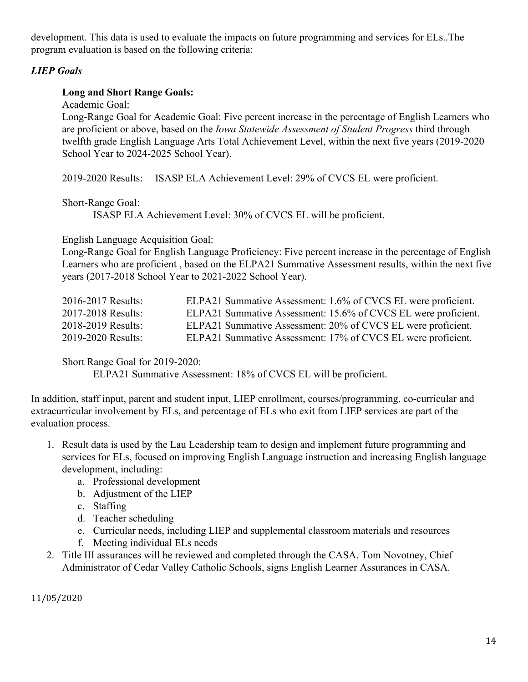development. This data is used to evaluate the impacts on future programming and services for ELs..The program evaluation is based on the following criteria:

#### *LIEP Goals*

#### **Long and Short Range Goals:**

Academic Goal:

Long-Range Goal for Academic Goal: Five percent increase in the percentage of English Learners who are proficient or above, based on the *Iowa Statewide Assessment of Student Progress* third through twelfth grade English Language Arts Total Achievement Level, within the next five years (2019-2020 School Year to 2024-2025 School Year).

2019-2020 Results: ISASP ELA Achievement Level: 29% of CVCS EL were proficient.

Short-Range Goal:

ISASP ELA Achievement Level: 30% of CVCS EL will be proficient.

#### English Language Acquisition Goal:

Long-Range Goal for English Language Proficiency: Five percent increase in the percentage of English Learners who are proficient , based on the ELPA21 Summative Assessment results, within the next five years (2017-2018 School Year to 2021-2022 School Year).

| 2016-2017 Results: | ELPA21 Summative Assessment: 1.6% of CVCS EL were proficient.  |
|--------------------|----------------------------------------------------------------|
| 2017-2018 Results: | ELPA21 Summative Assessment: 15.6% of CVCS EL were proficient. |
| 2018-2019 Results: | ELPA21 Summative Assessment: 20% of CVCS EL were proficient.   |
| 2019-2020 Results: | ELPA21 Summative Assessment: 17% of CVCS EL were proficient.   |

#### Short Range Goal for 2019-2020:

ELPA21 Summative Assessment: 18% of CVCS EL will be proficient.

In addition, staff input, parent and student input, LIEP enrollment, courses/programming, co-curricular and extracurricular involvement by ELs, and percentage of ELs who exit from LIEP services are part of the evaluation process.

- 1. Result data is used by the Lau Leadership team to design and implement future programming and services for ELs, focused on improving English Language instruction and increasing English language development, including:
	- a. Professional development
	- b. Adjustment of the LIEP
	- c. Staffing
	- d. Teacher scheduling
	- e. Curricular needs, including LIEP and supplemental classroom materials and resources
	- f. Meeting individual ELs needs
- 2. Title III assurances will be reviewed and completed through the CASA. Tom Novotney, Chief Administrator of Cedar Valley Catholic Schools, signs English Learner Assurances in CASA.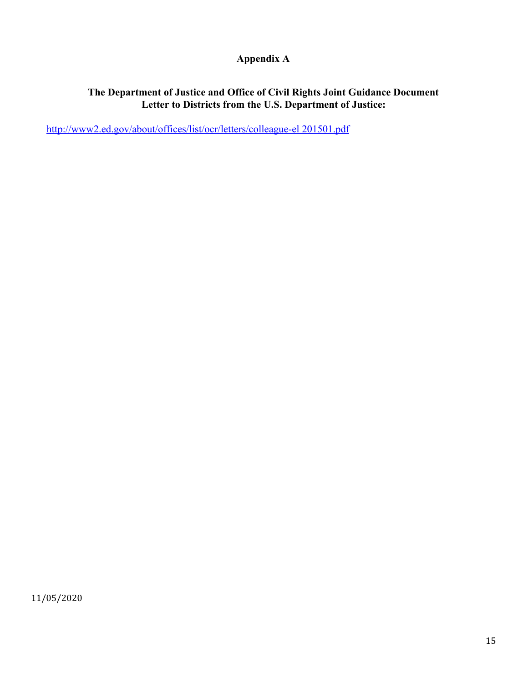# **Appendix A**

#### **The Department of Justice and Office of Civil Rights Joint Guidance Document Letter to Districts from the U.S. Department of Justice:**

[http://www2.ed.gov/about/offices/list/ocr/letters/colleague-el 201501.pdf](https://www2.ed.gov/about/offices/list/ocr/letters/colleague-el-201501.pdf)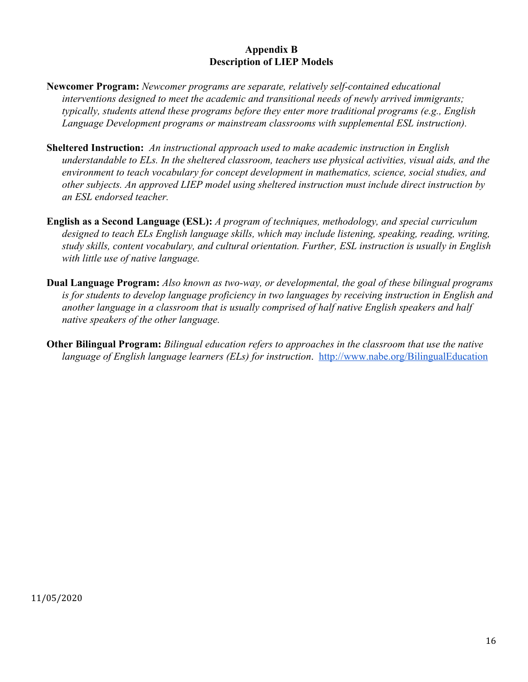#### **Appendix B Description of LIEP Models**

- **Newcomer Program:** *Newcomer programs are separate, relatively self-contained educational interventions designed to meet the academic and transitional needs of newly arrived immigrants; typically, students attend these programs before they enter more traditional programs (e.g., English Language Development programs or mainstream classrooms with supplemental ESL instruction).*
- **Sheltered Instruction:** *An instructional approach used to make academic instruction in English understandable to ELs. In the sheltered classroom, teachers use physical activities, visual aids, and the environment to teach vocabulary for concept development in mathematics, science, social studies, and other subjects. An approved LIEP model using sheltered instruction must include direct instruction by an ESL endorsed teacher.*
- **English as a Second Language (ESL):** *A program of techniques, methodology, and special curriculum designed to teach ELs English language skills, which may include listening, speaking, reading, writing, study skills, content vocabulary, and cultural orientation. Further, ESL instruction is usually in English with little use of native language.*
- **Dual Language Program:** *Also known as two-way, or developmental, the goal of these bilingual programs is for students to develop language proficiency in two languages by receiving instruction in English and another language in a classroom that is usually comprised of half native English speakers and half native speakers of the other language.*
- **Other Bilingual Program:** *Bilingual education refers to approaches in the classroom that use the native language of English language learners (ELs) for instruction*. <http://www.nabe.org/BilingualEducation>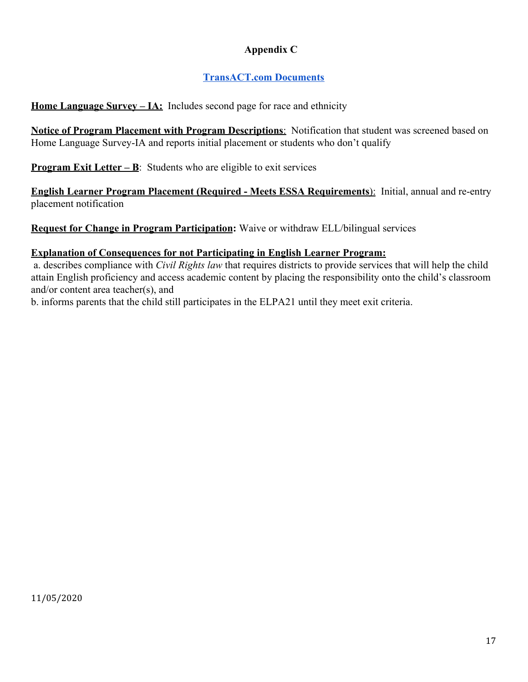# **Appendix C**

# **[TransACT.com Documents](https://drive.google.com/drive/u/0/folders/1T1QAs9WkSSShK0B7h0XxNyFrWDeegCIR)**

**[Home Language Survey – IA](https://www.transact.com/login):** Includes second page for race and ethnicity

**Notice of Program Placement with Program Descriptions**: Notification that student was screened based on Home Language Survey-IA and reports initial placement or students who don't qualify

**[Program Exit Letter – B](https://www.transact.com/login)[:](https://www.transact.com/login)** Students who are eligible to exit services

**[English Learner Program Placement \(Required - Meets ESSA Requirements](https://www.transact.com/login)**[\):](https://www.transact.com/login) Initial, annual and re-entry placement notification

**[Request for Change in Program Participation](https://www.transact.com/login):** Waive or withdraw ELL/bilingual services

#### **[Explanation of Consequences for not Participating in English Learner Program:](https://www.transact.com/login)**

 a. describes compliance with *Civil Rights law* that requires districts to provide services that will help the child attain English proficiency and access academic content by placing the responsibility onto the child's classroom and/or content area teacher(s), and

b. informs parents that the child still participates in the ELPA21 until they meet exit criteria.